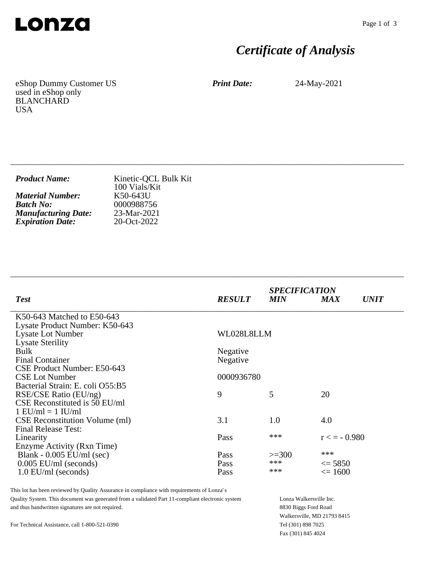

# *Certificate of Analysis*

eShop Dummy Customer US used in eShop only BLANCHARD USA

*Print Date:* 24-May-2021

| <b>Product Name:</b>       | Kinetic-QCL Bulk Kit<br>100 Vials/Kit |
|----------------------------|---------------------------------------|
| <b>Material Number:</b>    | K50-643U                              |
| <b>Batch No:</b>           | 0000988756                            |
| <b>Manufacturing Date:</b> | 23-Mar-2021                           |
| <b>Expiration Date:</b>    | 20-Oct-2022                           |

\_\_\_\_\_\_\_\_\_\_\_\_\_\_\_\_\_\_\_\_\_\_\_\_\_\_\_\_\_\_\_\_\_\_\_\_\_\_\_\_\_\_\_\_\_\_\_\_\_\_\_\_\_\_\_\_\_\_\_\_\_\_\_\_\_\_\_\_\_\_\_\_\_\_\_\_

\_\_\_\_\_\_\_\_\_\_\_\_\_\_\_\_\_\_\_\_\_\_\_\_\_\_\_\_\_\_\_\_\_\_\_\_\_\_\_\_\_\_\_\_\_\_\_\_\_\_\_\_\_\_\_\_\_\_\_\_\_\_\_\_\_\_\_\_\_\_\_\_\_\_\_\_

| <b>Test</b>                           | <b>RESULT</b> | <b>SPECIFICATION</b><br><b>MIN</b> | <b>MAX</b>        | <i><b>UNIT</b></i> |
|---------------------------------------|---------------|------------------------------------|-------------------|--------------------|
| K50-643 Matched to E50-643            |               |                                    |                   |                    |
| Lysate Product Number: K50-643        |               |                                    |                   |                    |
| <b>Lysate Lot Number</b>              | WL028L8LLM    |                                    |                   |                    |
| <b>Lysate Sterility</b>               |               |                                    |                   |                    |
| <b>Bulk</b>                           | Negative      |                                    |                   |                    |
| <b>Final Container</b>                | Negative      |                                    |                   |                    |
| CSE Product Number: E50-643           |               |                                    |                   |                    |
| <b>CSE Lot Number</b>                 | 0000936780    |                                    |                   |                    |
| Bacterial Strain: E. coli O55:B5      |               |                                    |                   |                    |
| RSE/CSE Ratio (EU/ng)                 | 9             | 5                                  | 20                |                    |
| CSE Reconstituted is 50 EU/ml         |               |                                    |                   |                    |
| $1$ EU/ml = $1$ IU/ml                 |               |                                    |                   |                    |
| <b>CSE</b> Reconstitution Volume (ml) | 3.1           | 1.0                                | 4.0               |                    |
| <b>Final Release Test:</b>            |               |                                    |                   |                    |
| Linearity                             | Pass          | ***                                | $r \leq -0.980$   |                    |
| Enzyme Activity (Rxn Time)            |               |                                    |                   |                    |
| Blank - $0.005$ EU/ml (sec)           | Pass          | $>=300$                            | ***               |                    |
| $0.005$ EU/ml (seconds)               | Pass          | ***                                | $\leq$ 5850       |                    |
| $1.0$ EU/ml (seconds)                 | Pass          | ***                                | $\epsilon = 1600$ |                    |

This lot has been reviewed by Quality Assurance in compliance with requirements of Lonza's Quality System. This document was generated from a validated Part 11-compliant electronic system and thus handwritten signatures are not required.

Lonza Walkersville Inc. 8830 Biggs Ford Road Walkersville, MD 21793 8415 Tel (301) 898 7025 Fax (301) 845 4024

For Technical Assistance, call 1-800-521-0390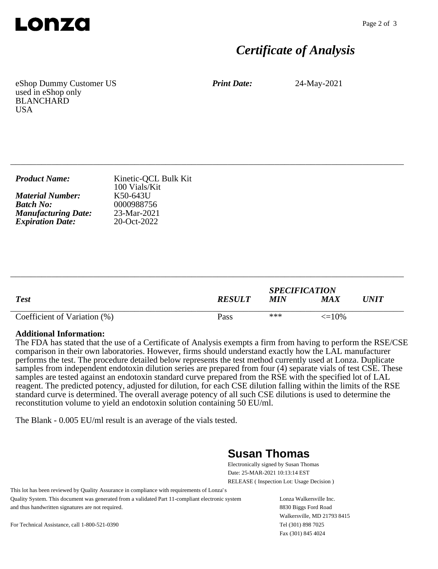

## *Certificate of Analysis*

eShop Dummy Customer US used in eShop only BLANCHARD **USA** 

*Print Date:* 24-May-2021

| Kinetic-QCL Bulk Kit<br>100 Vials/Kit                  |
|--------------------------------------------------------|
| K50-643U<br>0000988756<br>$23-Mar-2021$<br>20-Oct-2022 |
|                                                        |

\_\_\_\_\_\_\_\_\_\_\_\_\_\_\_\_\_\_\_\_\_\_\_\_\_\_\_\_\_\_\_\_\_\_\_\_\_\_\_\_\_\_\_\_\_\_\_\_\_\_\_\_\_\_\_\_\_\_\_\_\_\_\_\_\_\_\_\_\_\_\_\_\_\_\_\_

|                              |               | <b>SPECIFICATION</b> |                   |             |
|------------------------------|---------------|----------------------|-------------------|-------------|
| <b>Test</b>                  | <b>RESULT</b> | MIN                  | MA X              | <i>UNIT</i> |
| Coefficient of Variation (%) | Pass          | ***                  | $\epsilon = 10\%$ |             |

\_\_\_\_\_\_\_\_\_\_\_\_\_\_\_\_\_\_\_\_\_\_\_\_\_\_\_\_\_\_\_\_\_\_\_\_\_\_\_\_\_\_\_\_\_\_\_\_\_\_\_\_\_\_\_\_\_\_\_\_\_\_\_\_\_\_\_\_\_\_\_\_\_\_\_\_

#### **Additional Information:**

The FDA has stated that the use of a Certificate of Analysis exempts a firm from having to perform the RSE/CSE comparison in their own laboratories. However, firms should understand exactly how the LAL manufacturer performs the test. The procedure detailed below represents the test method currently used at Lonza. Duplicate samples from independent endotoxin dilution series are prepared from four (4) separate vials of test CSE. These samples are tested against an endotoxin standard curve prepared from the RSE with the specified lot of LAL reagent. The predicted potency, adjusted for dilution, for each CSE dilution falling within the limits of the RSE standard curve is determined. The overall average potency of all such CSE dilutions is used to determine the reconstitution volume to yield an endotoxin solution containing 50 EU/ml.

The Blank - 0.005 EU/ml result is an average of the vials tested.

### **Susan Thomas**

Electronically signed by Susan Thomas Date: 25-MAR-2021 10:13:14 EST RELEASE ( Inspection Lot: Usage Decision )

This lot has been reviewed by Quality Assurance in compliance with requirements of Lonza's Quality System. This document was generated from a validated Part 11-compliant electronic system and thus handwritten signatures are not required.

Lonza Walkersville Inc. 8830 Biggs Ford Road Walkersville, MD 21793 8415 Tel (301) 898 7025 Fax (301) 845 4024

For Technical Assistance, call 1-800-521-0390